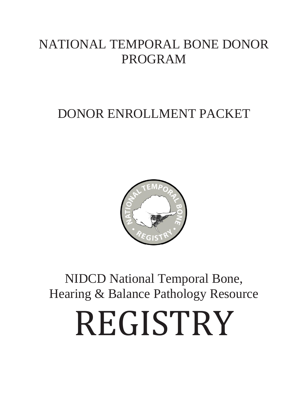## NATIONAL TEMPORAL BONE DONOR PROGRAM

## DONOR ENROLLMENT PACKET



NIDCD National Temporal Bone, Hearing & Balance Pathology Resource

# REGISTRY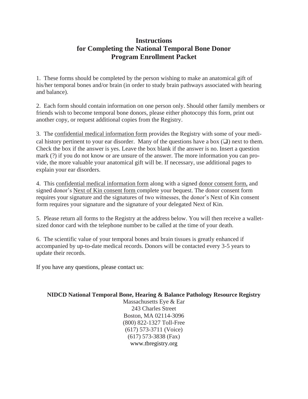#### **Instructions for Completing the National Temporal Bone Donor Program Enrollment Packet**

1. These forms should be completed by the person wishing to make an anatomical gift of his/her temporal bones and/or brain (in order to study brain pathways associated with hearing and balance).

2. Each form should contain information on one person only. Should other family members or friends wish to become temporal bone donors, please either photocopy this form, print out another copy, or request additional copies from the Registry.

3. The confidential medical information form provides the Registry with some of your medical history pertinent to your ear disorder. Many of the questions have a box  $(\square)$  next to them. Check the box if the answer is yes. Leave the box blank if the answer is no. Insert a question mark (?) if you do not know or are unsure of the answer. The more information you can provide, the more valuable your anatomical gift will be. If necessary, use additional pages to explain your ear disorders.

4. This confidential medical information form along with a signed donor consent form, and signed donor's Next of Kin consent form complete your bequest. The donor consent form requires your signature and the signatures of two witnesses, the donor's Next of Kin consent form requires your signature and the signature of your delegated Next of Kin.

5. Please return all forms to the Registry at the address below. You will then receive a walletsized donor card with the telephone number to be called at the time of your death.

6. The scientific value of your temporal bones and brain tissues is greatly enhanced if accompanied by up-to-date medical records. Donors will be contacted every 3-5 years to update their records.

If you have any questions, please contact us:

#### **NIDCD National Temporal Bone, Hearing & Balance Pathology Resource Registry**

Massachusetts Eye & Ear 243 Charles Street Boston, MA 02114-3096 (800) 822-1327 Toll-Free (617) 573-3711 (Voice) (617) 573-3838 (Fax) www.tbregistry.org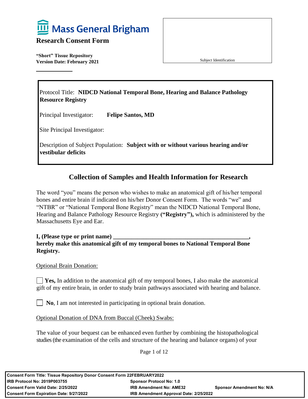

**"Short" Tissue Repository Version Date: February 2021** 

Subject Identification

Protocol Title: **NIDCD National Temporal Bone, Hearing and Balance Pathology Resource Registry**

Principal Investigator: **Felipe Santos, MD**

Site Principal Investigator:

Description of Subject Population: **Subject with or without various hearing and/or vestibular deficits**

#### **Collection of Samples and Health Information for Research**

The word "you" means the person who wishes to make an anatomical gift of his/her temporal bones and entire brain if indicated on his/her Donor Consent Form. The words "we" and "NTBR" or "National Temporal Bone Registry" mean the NIDCD National Temporal Bone, Hearing and Balance Pathology Resource Registry **("Registry"),** which is administered by the Massachusetts Eye and Ear.

**I, (Please type or print name) \_\_\_\_\_\_\_\_\_\_\_\_\_\_\_\_\_\_\_\_\_\_\_\_\_\_\_\_\_\_\_\_\_\_\_\_\_\_\_\_\_\_\_\_\_, hereby make this anatomical gift of my temporal bones to National Temporal Bone Registry.**

#### Optional Brain Donation:

**Yes,** In addition to the anatomical gift of my temporal bones, I also make the anatomical gift of my entire brain, in order to study brain pathways associated with hearing and balance.

**No**, I am not interested in participating in optional brain donation.

Optional Donation of DNA from Buccal (Cheek) Swabs:

The value of your bequest can be enhanced even further by combining the histopathological studies (the examination of the cells and structure of the hearing and balance organs) of your

Page 1 of 12

| Consent Form Title: Tissue Repository Donor Consent Form 22FEBRUARY2022 |                                        |                                  |
|-------------------------------------------------------------------------|----------------------------------------|----------------------------------|
| l IRB Protocol No: 2019P003755_<br><b>Sponsor Protocol No: 1.0</b>      |                                        |                                  |
| Consent Form Valid Date: 2/25/2022                                      | <b>IRB Amendment No: AME32</b>         | <b>Sponsor Amendment No: N/A</b> |
| Consent Form Expiration Date: 9/27/2022                                 | IRB Amendment Approval Date: 2/25/2022 |                                  |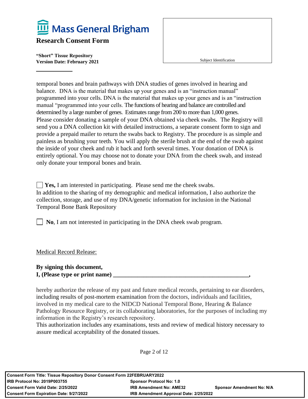

**"Short" Tissue Repository Version Date: February 2021** 

Subject Identification

temporal bones and brain pathways with DNA studies of genes involved in hearing and balance. DNA is the material that makes up your genes and is an "instruction manual" programmed into your cells. DNA is the material that makes up your genes and is an "instruction manual "programmed into your cells. The functions of hearing and balance are controlled and determined by a large number of genes. Estimates range from 200 to more than 1,000 genes. Please consider donating a sample of your DNA obtained via cheek swabs. The Registry will send you a DNA collection kit with detailed instructions, a separate consent form to sign and provide a prepaid mailer to return the swabs back to Registry. The procedure is as simple and painless as brushing your teeth. You will apply the sterile brush at the end of the swab against the inside of your cheek and rub it back and forth several times. Your donation of DNA is entirely optional. You may choose not to donate your DNA from the cheek swab, and instead only donate your temporal bones and brain.

**Yes,** I am interested in participating. Please send me the cheek swabs. In addition to the sharing of my demographic and medical information, I also authorize the collection, storage, and use of my DNA/genetic information for inclusion in the National Temporal Bone Bank Repository

**No**, I am not interested in participating in the DNA cheek swab program.

Medical Record Release:

#### **By signing this document, I, (Please type or print name) \_\_\_\_\_\_\_\_\_\_\_\_\_\_\_\_\_\_\_\_\_\_\_\_\_\_\_\_\_\_\_\_\_\_\_\_\_\_\_\_\_\_\_\_\_,**

hereby authorize the release of my past and future medical records, pertaining to ear disorders, including results of post-mortem examination from the doctors, individuals and facilities, involved in my medical care to the NIDCD National Temporal Bone, Hearing & Balance Pathology Resource Registry, or its collaborating laboratories, for the purposes of including my information in the Registry's research repository.

This authorization includes any examinations, tests and review of medical history necessary to assure medical acceptability of the donated tissues.

Page 2 of 12

| <b>Consent Form Title: Tissue Repository Donor Consent Form 22FEBRUARY2022</b> |                                        |                                  |
|--------------------------------------------------------------------------------|----------------------------------------|----------------------------------|
| <b>IRB Protocol No: 2019P003755</b><br><b>Sponsor Protocol No: 1.0</b>         |                                        |                                  |
| <b>Consent Form Valid Date: 2/25/2022</b>                                      | <b>IRB Amendment No: AME32</b>         | <b>Sponsor Amendment No: N/A</b> |
| <b>Consent Form Expiration Date: 9/27/2022</b>                                 | IRB Amendment Approval Date: 2/25/2022 |                                  |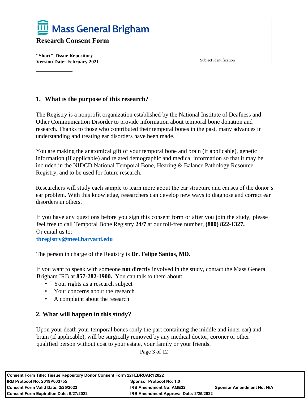

**"Short" Tissue Repository Version Date: February 2021** 

Subject Identification

#### **1. What is the purpose of this research?**

The Registry is a nonprofit organization established by the National Institute of Deafness and Other Communication Disorder to provide information about temporal bone donation and research. Thanks to those who contributed their temporal bones in the past, many advances in understanding and treating ear disorders have been made.

You are making the anatomical gift of your temporal bone and brain (if applicable), genetic information (if applicable) and related demographic and medical information so that it may be included in the NIDCD National Temporal Bone, Hearing & Balance Pathology Resource Registry, and to be used for future research.

Researchers will study each sample to learn more about the ear structure and causes of the donor's ear problem. With this knowledge, researchers can develop new ways to diagnose and correct ear disorders in others.

If you have any questions before you sign this consent form or after you join the study, please feel free to call Temporal Bone Registry **24/7** at our toll-free number, **(800) 822-1327,** Or email us to:

**[tbregistry@meei.harvard.edu](mailto:tbregistry@meei.harvard.edu)**

The person in charge of the Registry is **Dr. Felipe Santos, MD.**

If you want to speak with someone **not** directly involved in the study, contact the Mass General Brigham IRB at **857-282-1900.** You can talk to them about:

- Your rights as a research subject
- Your concerns about the research
- A complaint about the research

#### **2. What will happen in this study?**

Upon your death your temporal bones (only the part containing the middle and inner ear) and brain (if applicable), will be surgically removed by any medical doctor, coroner or other qualified person without cost to your estate, your family or your friends.

Page 3 of 12

| <b>Consent Form Title: Tissue Repository Donor Consent Form 22FEBRUARY2022</b> |                                        |                                  |
|--------------------------------------------------------------------------------|----------------------------------------|----------------------------------|
| <b>IRB Protocol No: 2019P003755</b><br><b>Sponsor Protocol No: 1.0</b>         |                                        |                                  |
| Consent Form Valid Date: 2/25/2022                                             | <b>IRB Amendment No: AME32</b>         | <b>Sponsor Amendment No: N/A</b> |
| <b>Consent Form Expiration Date: 9/27/2022</b>                                 | IRB Amendment Approval Date: 2/25/2022 |                                  |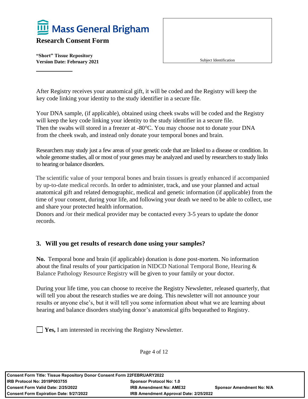

**"Short" Tissue Repository Version Date: February 2021** 

After Registry receives your anatomical gift, it will be coded and the Registry will keep the key code linking your identity to the study identifier in a secure file.

Your DNA sample, (if applicable), obtained using cheek swabs will be coded and the Registry will keep the key code linking your identity to the study identifier in a secure file. Then the swabs will stored in a freezer at -80°C. You may choose not to donate your DNA from the cheek swab, and instead only donate your temporal bones and brain.

Researchers may study just a few areas of your genetic code that are linked to a disease or condition. In whole genome studies, all or most of your genes may be analyzed and used by researchers to study links to hearing or balance disorders.

The scientific value of your temporal bones and brain tissues is greatly enhanced if accompanied by up-to-date medical records. In order to administer, track, and use your planned and actual anatomical gift and related demographic, medical and genetic information (if applicable) from the time of your consent, during your life, and following your death we need to be able to collect, use and share your protected health information.

Donors and /or their medical provider may be contacted every 3-5 years to update the donor records.

#### **3. Will you get results of research done using your samples?**

**No.** Temporal bone and brain (if applicable) donation is done post-mortem. No information about the final results of your participation in NIDCD National Temporal Bone, Hearing  $\&$ Balance Pathology Resource Registry will be given to your family or your doctor.

During your life time, you can choose to receive the Registry Newsletter, released quarterly, that will tell you about the research studies we are doing. This newsletter will not announce your results or anyone else's, but it will tell you some information about what we are learning about hearing and balance disorders studying donor's anatomical gifts bequeathed to Registry.

**Yes,** I am interested in receiving the Registry Newsletter.

Page 4 of 12

| <b>Consent Form Title: Tissue Repository Donor Consent Form 22FEBRUARY2022</b> |                                        |                                  |
|--------------------------------------------------------------------------------|----------------------------------------|----------------------------------|
| <b>IRB Protocol No: 2019P003755</b>                                            | <b>Sponsor Protocol No: 1.0</b>        |                                  |
| <b>Consent Form Valid Date: 2/25/2022</b>                                      | <b>IRB Amendment No: AME32</b>         | <b>Sponsor Amendment No: N/A</b> |
| <b>Consent Form Expiration Date: 9/27/2022</b>                                 | IRB Amendment Approval Date: 2/25/2022 |                                  |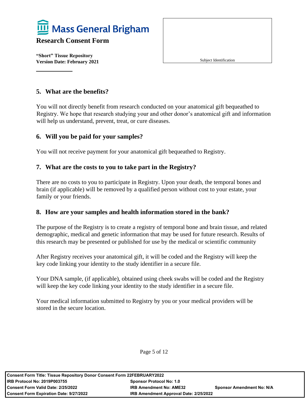

**"Short" Tissue Repository Version Date: February 2021** 

Subject Identification

#### **5. What are the benefits?**

You will not directly benefit from research conducted on your anatomical gift bequeathed to Registry. We hope that research studying your and other donor's anatomical gift and information will help us understand, prevent, treat, or cure diseases.

#### **6. Will you be paid for your samples?**

You will not receive payment for your anatomical gift bequeathed to Registry.

#### **7. What are the costs to you to take part in the Registry?**

There are no costs to you to participate in Registry. Upon your death, the temporal bones and brain (if applicable) will be removed by a qualified person without cost to your estate, your family or your friends.

#### **8. How are your samples and health information stored in the bank?**

The purpose of the Registry is to create a registry of temporal bone and brain tissue, and related demographic, medical and genetic information that may be used for future research. Results of this research may be presented or published for use by the medical or scientific community

After Registry receives your anatomical gift, it will be coded and the Registry will keep the key code linking your identity to the study identifier in a secure file.

Your DNA sample, (if applicable), obtained using cheek swabs will be coded and the Registry will keep the key code linking your identity to the study identifier in a secure file.

Your medical information submitted to Registry by you or your medical providers will be stored in the secure location.

Page 5 of 12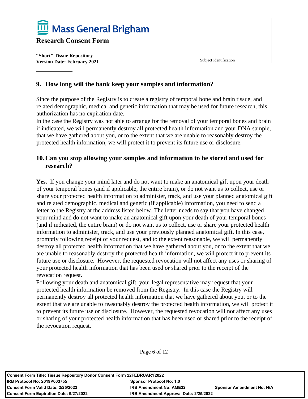

**"Short" Tissue Repository Version Date: February 2021** 

Subject Identification

#### **9. How long will the bank keep your samples and information?**

Since the purpose of the Registry is to create a registry of temporal bone and brain tissue, and related demographic, medical and genetic information that may be used for future research, this authorization has no expiration date.

In the case the Registry was not able to arrange for the removal of your temporal bones and brain if indicated, we will permanently destroy all protected health information and your DNA sample, that we have gathered about you, or to the extent that we are unable to reasonably destroy the protected health information, we will protect it to prevent its future use or disclosure.

#### **10.Can you stop allowing your samples and information to be stored and used for research?**

**Yes.** If you change your mind later and do not want to make an anatomical gift upon your death of your temporal bones (and if applicable, the entire brain), or do not want us to collect, use or share your protected health information to administer, track, and use your planned anatomical gift and related demographic, medical and genetic (if applicable) information, you need to send a letter to the Registry at the address listed below. The letter needs to say that you have changed your mind and do not want to make an anatomical gift upon your death of your temporal bones (and if indicated, the entire brain) or do not want us to collect, use or share your protected health information to administer, track, and use your previously planned anatomical gift. In this case, promptly following receipt of your request, and to the extent reasonable, we will permanently destroy all protected health information that we have gathered about you, or to the extent that we are unable to reasonably destroy the protected health information, we will protect it to prevent its future use or disclosure. However, the requested revocation will not affect any uses or sharing of your protected health information that has been used or shared prior to the receipt of the revocation request.

Following your death and anatomical gift, your legal representative may request that your protected health information be removed from the Registry. In this case the Registry will permanently destroy all protected health information that we have gathered about you, or to the extent that we are unable to reasonably destroy the protected health information, we will protect it to prevent its future use or disclosure. However, the requested revocation will not affect any uses or sharing of your protected health information that has been used or shared prior to the receipt of the revocation request.

Page 6 of 12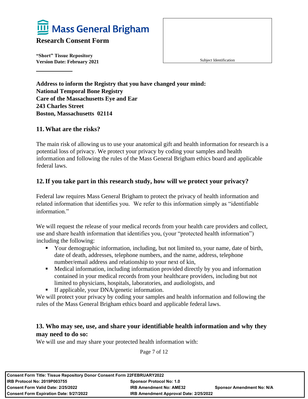

**"Short" Tissue Repository Version Date: February 2021** 

Subject Identification

**Address to inform the Registry that you have changed your mind: National Temporal Bone Registry Care of the Massachusetts Eye and Ear 243 Charles Street Boston, Massachusetts 02114**

#### **11.What are the risks?**

The main risk of allowing us to use your anatomical gift and health information for research is a potential loss of privacy. We protect your privacy by coding your samples and health information and following the rules of the Mass General Brigham ethics board and applicable federal laws.

#### **12.If you take part in this research study, how will we protect your privacy?**

Federal law requires Mass General Brigham to protect the privacy of health information and related information that identifies you. We refer to this information simply as "identifiable information."

We will request the release of your medical records from your health care providers and collect, use and share health information that identifies you, (your "protected health information") including the following:

- Your demographic information, including, but not limited to, your name, date of birth, date of death, addresses, telephone numbers, and the name, address, telephone number/email address and relationship to your next of kin,
- Medical information, including information provided directly by you and information contained in your medical records from your healthcare providers, including but not limited to physicians, hospitals, laboratories, and audiologists, and
- **•** If applicable, your DNA/genetic information.

We will protect your privacy by coding your samples and health information and following the rules of the Mass General Brigham ethics board and applicable federal laws.

#### **13. Who may see, use, and share your identifiable health information and why they may need to do so:**

We will use and may share your protected health information with:

Page 7 of 12

| <b>Consent Form Title: Tissue Repository Donor Consent Form 22FEBRUARY2022</b> |                                        |                                  |
|--------------------------------------------------------------------------------|----------------------------------------|----------------------------------|
| <b>IRB Protocol No: 2019P003755</b><br><b>Sponsor Protocol No: 1.0</b>         |                                        |                                  |
| <b>Consent Form Valid Date: 2/25/2022</b>                                      | <b>IRB Amendment No: AME32</b>         | <b>Sponsor Amendment No: N/A</b> |
| <b>Consent Form Expiration Date: 9/27/2022</b>                                 | IRB Amendment Approval Date: 2/25/2022 |                                  |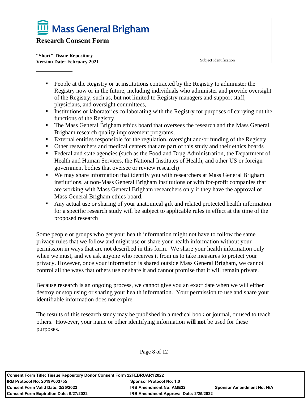Mass General Brigham

#### **Research Consent Form**

**"Short" Tissue Repository Version Date: February 2021** 

Subject Identification

- **•** People at the Registry or at institutions contracted by the Registry to administer the Registry now or in the future, including individuals who administer and provide oversight of the Registry, such as, but not limited to Registry managers and support staff, physicians, and oversight committees,
- Institutions or laboratories collaborating with the Registry for purposes of carrying out the functions of the Registry,
- **The Mass General Brigham ethics board that oversees the research and the Mass General** Brigham research quality improvement programs,
- External entities responsible for the regulation, oversight and/or funding of the Registry
- Other researchers and medical centers that are part of this study and their ethics boards
- Federal and state agencies (such as the Food and Drug Administration, the Department of Health and Human Services, the National Institutes of Health, and other US or foreign government bodies that oversee or review research)
- We may share information that identify you with researchers at Mass General Brigham institutions, at non-Mass General Brigham institutions or with for-profit companies that are working with Mass General Brigham researchers only if they have the approval of Mass General Brigham ethics board.
- Any actual use or sharing of your anatomical gift and related protected health information for a specific research study will be subject to applicable rules in effect at the time of the proposed research

Some people or groups who get your health information might not have to follow the same privacy rules that we follow and might use or share your health information without your permission in ways that are not described in this form. We share your health information only when we must, and we ask anyone who receives it from us to take measures to protect your privacy. However, once your information is shared outside Mass General Brigham, we cannot control all the ways that others use or share it and cannot promise that it will remain private.

Because research is an ongoing process, we cannot give you an exact date when we will either destroy or stop using or sharing your health information. Your permission to use and share your identifiable information does not expire.

The results of this research study may be published in a medical book or journal, or used to teach others. However, your name or other identifying information **will not** be used for these purposes.

Page 8 of 12

| <b>Consent Form Title: Tissue Repository Donor Consent Form 22FEBRUARY2022</b> |                                        |                                  |
|--------------------------------------------------------------------------------|----------------------------------------|----------------------------------|
| <b>IRB Protocol No: 2019P003755</b>                                            | <b>Sponsor Protocol No: 1.0</b>        |                                  |
| <b>Consent Form Valid Date: 2/25/2022</b>                                      | <b>IRB Amendment No: AME32</b>         | <b>Sponsor Amendment No: N/A</b> |
| <b>Consent Form Expiration Date: 9/27/2022</b>                                 | IRB Amendment Approval Date: 2/25/2022 |                                  |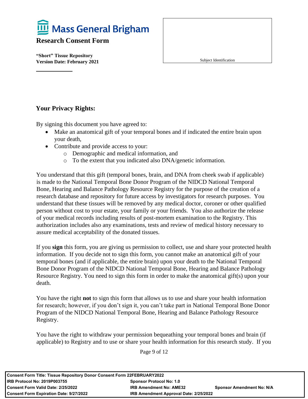

**"Short" Tissue Repository Version Date: February 2021** 

Subject Identification

#### **Your Privacy Rights:**

By signing this document you have agreed to:

- Make an anatomical gift of your temporal bones and if indicated the entire brain upon your death,
- Contribute and provide access to your:
	- o Demographic and medical information, and
	- o To the extent that you indicated also DNA/genetic information.

You understand that this gift (temporal bones, brain, and DNA from cheek swab if applicable) is made to the National Temporal Bone Donor Program of the NIDCD National Temporal Bone, Hearing and Balance Pathology Resource Registry for the purpose of the creation of a research database and repository for future access by investigators for research purposes. You understand that these tissues will be removed by any medical doctor, coroner or other qualified person without cost to your estate, your family or your friends. You also authorize the release of your medical records including results of post-mortem examination to the Registry. This authorization includes also any examinations, tests and review of medical history necessary to assure medical acceptability of the donated tissues.

If you **sign** this form, you are giving us permission to collect, use and share your protected health information. If you decide not to sign this form, you cannot make an anatomical gift of your temporal bones (and if applicable, the entire brain) upon your death to the National Temporal Bone Donor Program of the NIDCD National Temporal Bone, Hearing and Balance Pathology Resource Registry. You need to sign this form in order to make the anatomical gift(s) upon your death.

You have the right **not** to sign this form that allows us to use and share your health information for research; however, if you don't sign it, you can't take part in National Temporal Bone Donor Program of the NIDCD National Temporal Bone, Hearing and Balance Pathology Resource Registry.

You have the right to withdraw your permission bequeathing your temporal bones and brain (if applicable) to Registry and to use or share your health information for this research study. If you

Page 9 of 12

| Consent Form Title: Tissue Repository Donor Consent Form 22FEBRUARY2022 |                                        |                                  |
|-------------------------------------------------------------------------|----------------------------------------|----------------------------------|
| l IRB Protocol No: 2019P003755<br><b>Sponsor Protocol No: 1.0</b>       |                                        |                                  |
| l Consent Form Valid Date: 2/25/2022                                    | <b>IRB Amendment No: AME32</b>         | <b>Sponsor Amendment No: N/A</b> |
| Consent Form Expiration Date: 9/27/2022                                 | IRB Amendment Approval Date: 2/25/2022 |                                  |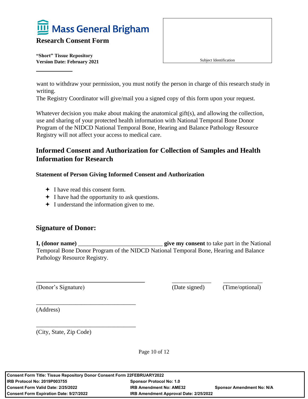

**"Short" Tissue Repository Version Date: February 2021** 

Subject Identification

want to withdraw your permission, you must notify the person in charge of this research study in writing.

The Registry Coordinator will give/mail you a signed copy of this form upon your request.

Whatever decision you make about making the anatomical gift(s), and allowing the collection, use and sharing of your protected health information with National Temporal Bone Donor Program of the NIDCD National Temporal Bone, Hearing and Balance Pathology Resource Registry will not affect your access to medical care.

#### **Informed Consent and Authorization for Collection of Samples and Health Information for Research**

#### **Statement of Person Giving Informed Consent and Authorization**

I have read this consent form.

\_\_\_\_\_\_\_\_\_\_\_\_\_\_\_\_\_\_\_\_\_\_\_\_\_\_\_\_\_\_\_\_\_

\_\_\_\_\_\_\_\_\_\_\_\_\_\_\_\_\_\_\_\_\_\_\_\_\_\_\_\_\_\_\_\_\_

- $\div$  I have had the opportunity to ask questions.
- $\div$  I understand the information given to me.

#### **Signature of Donor:**

**I, (donor name)** \_\_\_\_\_\_\_\_\_\_\_\_\_\_\_\_\_\_\_\_\_\_\_\_\_\_\_\_ **give my consent** to take part in the National Temporal Bone Donor Program of the NIDCD National Temporal Bone, Hearing and Balance Pathology Resource Registry.

(Donor's Signature) (Date signed) (Time/optional)

 $\overline{\phantom{a}}$  ,  $\overline{\phantom{a}}$  ,  $\overline{\phantom{a}}$  ,  $\overline{\phantom{a}}$  ,  $\overline{\phantom{a}}$  ,  $\overline{\phantom{a}}$  ,  $\overline{\phantom{a}}$  ,  $\overline{\phantom{a}}$  ,  $\overline{\phantom{a}}$  ,  $\overline{\phantom{a}}$  ,  $\overline{\phantom{a}}$  ,  $\overline{\phantom{a}}$  ,  $\overline{\phantom{a}}$  ,  $\overline{\phantom{a}}$  ,  $\overline{\phantom{a}}$  ,  $\overline{\phantom{a}}$ 

(Address)

(City, State, Zip Code)

Page 10 of 12

| Consent Form Title: Tissue Repository Donor Consent Form 22FEBRUARY2022 |                                        |                                  |
|-------------------------------------------------------------------------|----------------------------------------|----------------------------------|
| IRB Protocol No: 2019P003755<br><b>Sponsor Protocol No: 1.0</b>         |                                        |                                  |
| Consent Form Valid Date: 2/25/2022                                      | <b>IRB Amendment No: AME32</b>         | <b>Sponsor Amendment No: N/A</b> |
| Consent Form Expiration Date: 9/27/2022                                 | IRB Amendment Approval Date: 2/25/2022 |                                  |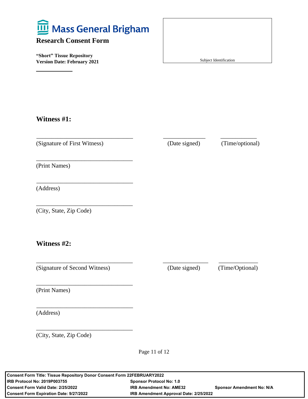

**"Short" Tissue Repository Version Date: February 2021** 

Subject Identification

#### **Witness #1:**

(Signature of First Witness) (Date signed) (Time/optional)

\_\_\_\_\_\_\_\_\_\_\_\_\_\_\_\_\_\_\_\_\_\_\_\_\_\_\_\_\_\_\_\_

\_\_\_\_\_\_\_\_\_\_\_\_\_\_\_\_\_\_\_\_\_\_\_\_\_\_\_\_\_\_\_\_

\_\_\_\_\_\_\_\_\_\_\_\_\_\_\_\_\_\_\_\_\_\_\_\_\_\_\_\_\_\_\_\_

\_\_\_\_\_\_\_\_\_\_\_\_\_\_\_\_\_\_\_\_\_\_\_\_\_\_\_\_\_\_\_\_ \_\_\_\_\_\_\_\_\_\_\_\_\_\_ \_\_\_\_\_\_\_\_\_\_\_\_

\_\_\_\_\_\_\_\_\_\_\_\_\_\_\_\_\_\_\_\_\_\_\_\_\_\_\_\_\_\_\_\_ \_\_\_\_\_\_\_\_\_\_\_\_\_\_\_ \_\_\_\_\_\_\_\_\_\_\_\_\_

(Print Names)

(Address)

(City, State, Zip Code)

**Witness #2:**

(Signature of Second Witness) (Date signed) (Time/Optional)

\_\_\_\_\_\_\_\_\_\_\_\_\_\_\_\_\_\_\_\_\_\_\_\_\_\_\_\_\_\_\_\_

\_\_\_\_\_\_\_\_\_\_\_\_\_\_\_\_\_\_\_\_\_\_\_\_\_\_\_\_\_\_\_\_

\_\_\_\_\_\_\_\_\_\_\_\_\_\_\_\_\_\_\_\_\_\_\_\_\_\_\_\_\_\_\_\_

(Print Names)

(Address)

(City, State, Zip Code)

Page 11 of 12

**Consent Form Title: Tissue Repository Donor Consent Form 22FEBRUARY2022 IRB Protocol No: 2019P003755 Sponsor Protocol No: 1.0 Consent Form Valid Date: 2/25/2022 IRB Amendment No: AME32 Sponsor Amendment No: N/A Consent Form Expiration Date: 9/27/2022 IRB Amendment Approval Date: 2/25/2022**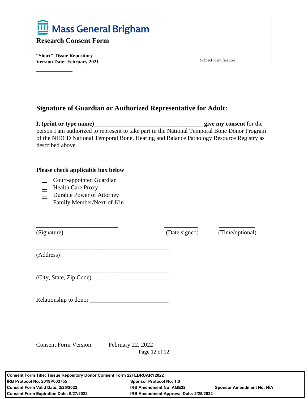

**"Short" Tissue Repository Version Date: February 2021** 

Subject Identification

#### **Signature of Guardian or Authorized Representative for Adult:**

**I, (print or type name)\_\_\_\_\_\_\_\_\_\_\_\_\_\_\_\_\_\_\_\_\_\_\_\_\_\_\_\_\_\_\_\_\_\_\_\_ give my consent** for the person I am authorized to represent to take part in the National Temporal Bone Donor Program of the NIDCD National Temporal Bone, Hearing and Balance Pathology Resource Registry as described above.

\_\_\_\_\_\_\_\_\_\_\_\_\_\_\_\_\_\_\_\_\_\_\_\_\_\_\_ \_\_\_\_\_\_\_\_\_\_\_ \_\_\_\_\_\_\_\_\_\_\_\_

#### **Please check applicable box below**

- Court-appointed Guardian
- Health Care Proxy
- Durable Power of Attorney
- □ Family Member/Next-of-Kin

(Signature) (Date signed) (Time/optional)

(Address)

(City, State, Zip Code)

Relationship to donor \_\_\_\_\_\_\_\_\_\_\_\_\_\_\_\_\_\_\_\_\_\_\_\_\_\_

\_\_\_\_\_\_\_\_\_\_\_\_\_\_\_\_\_\_\_\_\_\_\_\_\_\_\_\_\_\_\_\_\_\_\_\_\_\_\_\_\_\_\_\_

\_\_\_\_\_\_\_\_\_\_\_\_\_\_\_\_\_\_\_\_\_\_\_\_\_\_\_\_\_\_\_\_\_\_\_\_\_\_\_\_\_\_\_\_

Consent Form Version: February 22, 2022

Page 12 of 12

| <b>Consent Form Title: Tissue Repository Donor Consent Form 22FEBRUARY2022</b> |                                        |                                  |
|--------------------------------------------------------------------------------|----------------------------------------|----------------------------------|
| <b>IRB Protocol No: 2019P003755</b><br><b>Sponsor Protocol No: 1.0</b>         |                                        |                                  |
| Consent Form Valid Date: 2/25/2022                                             | <b>IRB Amendment No: AME32</b>         | <b>Sponsor Amendment No: N/A</b> |
| <b>Consent Form Expiration Date: 9/27/2022</b>                                 | IRB Amendment Approval Date: 2/25/2022 |                                  |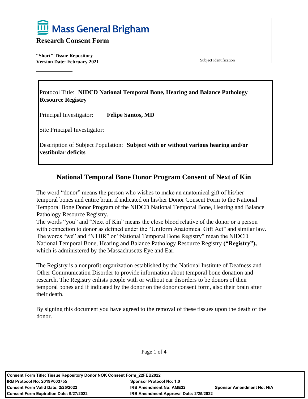

**"Short" Tissue Repository Version Date: February 2021** 

Subject Identification

Protocol Title: **NIDCD National Temporal Bone, Hearing and Balance Pathology Resource Registry** 

Principal Investigator: **Felipe Santos, MD**

Site Principal Investigator:

Description of Subject Population: **Subject with or without various hearing and/or vestibular deficits**

#### **National Temporal Bone Donor Program Consent of Next of Kin**

The word "donor" means the person who wishes to make an anatomical gift of his/her temporal bones and entire brain if indicated on his/her Donor Consent Form to the National Temporal Bone Donor Program of the NIDCD National Temporal Bone, Hearing and Balance Pathology Resource Registry.

The words "you" and "Next of Kin" means the close blood relative of the donor or a person with connection to donor as defined under the "Uniform Anatomical Gift Act" and similar law. The words "we" and "NTBR" or "National Temporal Bone Registry" mean the NIDCD National Temporal Bone, Hearing and Balance Pathology Resource Registry **("Registry"),** which is administered by the Massachusetts Eye and Ear.

The Registry is a nonprofit organization established by the National Institute of Deafness and Other Communication Disorder to provide information about temporal bone donation and research. The Registry enlists people with or without ear disorders to be donors of their temporal bones and if indicated by the donor on the donor consent form, also their brain after their death.

By signing this document you have agreed to the removal of these tissues upon the death of the donor.

Page 1 of 4

| Consent Form Title: Tissue Repository Donor NOK Consent Form 22FEB2022 |                                        |                                  |
|------------------------------------------------------------------------|----------------------------------------|----------------------------------|
| IRB Protocol No: 2019P003755                                           | <b>Sponsor Protocol No: 1.0</b>        |                                  |
| Consent Form Valid Date: 2/25/2022                                     | <b>IRB Amendment No: AME32</b>         | <b>Sponsor Amendment No: N/A</b> |
| <b>Consent Form Expiration Date: 9/27/2022</b>                         | IRB Amendment Approval Date: 2/25/2022 |                                  |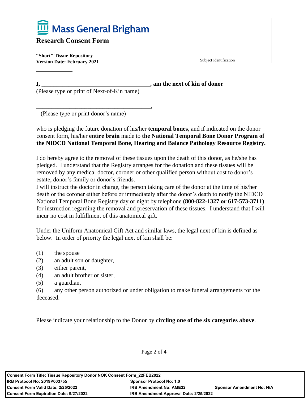

**"Short" Tissue Repository Version Date: February 2021** 

Subject Identification

**I, \_\_\_\_\_\_\_\_\_\_\_\_\_\_\_\_\_\_\_\_\_\_\_\_\_\_\_\_\_\_\_\_\_\_\_\_, am the next of kin of donor** 

(Please type or print of Next-of-Kin name)

\_\_\_\_\_\_\_\_\_\_\_\_\_\_\_\_\_\_\_\_\_\_\_\_\_\_\_\_\_\_\_\_\_\_\_\_\_\_,

(Please type or print donor's name)

who is pledging the future donation of his/her **temporal bones**, and if indicated on the donor consent form, his/her **entire brain** made to **the National Temporal Bone Donor Program of the NIDCD National Temporal Bone, Hearing and Balance Pathology Resource Registry.**

I do hereby agree to the removal of these tissues upon the death of this donor, as he/she has pledged. I understand that the Registry arranges for the donation and these tissues will be removed by any medical doctor, coroner or other qualified person without cost to donor's estate, donor's family or donor's friends.

I will instruct the doctor in charge, the person taking care of the donor at the time of his/her death or the coroner either before or immediately after the donor's death to notify the NIDCD National Temporal Bone Registry day or night by telephone **(800-822-1327 or 617-573-3711)** for instruction regarding the removal and preservation of these tissues. I understand that I will incur no cost in fulfillment of this anatomical gift.

Under the Uniform Anatomical Gift Act and similar laws, the legal next of kin is defined as below. In order of priority the legal next of kin shall be:

- (1) the spouse
- (2) an adult son or daughter,
- (3) either parent,
- (4) an adult brother or sister,
- (5) a guardian,
- (6) any other person authorized or under obligation to make funeral arrangements for the deceased.

Please indicate your relationship to the Donor by **circling one of the six categories above**.

Page 2 of 4

| <b>Consent Form Title: Tissue Repository Donor NOK Consent Form 22FEB2022</b> |                                        |                                  |
|-------------------------------------------------------------------------------|----------------------------------------|----------------------------------|
| <b>IRB Protocol No: 2019P003755</b><br><b>Sponsor Protocol No: 1.0</b>        |                                        |                                  |
| Consent Form Valid Date: 2/25/2022                                            | <b>IRB Amendment No: AME32</b>         | <b>Sponsor Amendment No: N/A</b> |
| <b>Consent Form Expiration Date: 9/27/2022</b>                                | IRB Amendment Approval Date: 2/25/2022 |                                  |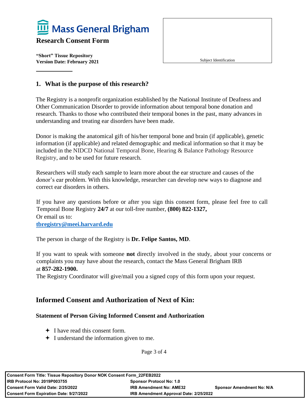

**"Short" Tissue Repository Version Date: February 2021** 

Subject Identification

#### **1. What is the purpose of this research?**

The Registry is a nonprofit organization established by the National Institute of Deafness and Other Communication Disorder to provide information about temporal bone donation and research. Thanks to those who contributed their temporal bones in the past, many advances in understanding and treating ear disorders have been made.

Donor is making the anatomical gift of his/her temporal bone and brain (if applicable), genetic information (if applicable) and related demographic and medical information so that it may be included in the NIDCD National Temporal Bone, Hearing & Balance Pathology Resource Registry, and to be used for future research.

Researchers will study each sample to learn more about the ear structure and causes of the donor's ear problem. With this knowledge, researcher can develop new ways to diagnose and correct ear disorders in others.

If you have any questions before or after you sign this consent form, please feel free to call Temporal Bone Registry **24/7** at our toll-free number, **(800) 822-1327,** Or email us to: **[tbregistry@meei.harvard.edu](mailto:tbregistry@meei.harvard.edu)**

The person in charge of the Registry is **Dr. Felipe Santos, MD**.

If you want to speak with someone **not** directly involved in the study, about your concerns or complaints you may have about the research, contact the Mass General Brigham IRB at **857-282-1900.**

The Registry Coordinator will give/mail you a signed copy of this form upon your request.

#### **Informed Consent and Authorization of Next of Kin:**

#### **Statement of Person Giving Informed Consent and Authorization**

- $\div$  I have read this consent form.
- I understand the information given to me.

Page 3 of 4

| <b>Consent Form Title: Tissue Repository Donor NOK Consent Form 22FEB2022</b> |                                        |                                  |
|-------------------------------------------------------------------------------|----------------------------------------|----------------------------------|
| <b>IRB Protocol No: 2019P003755</b><br><b>Sponsor Protocol No: 1.0</b>        |                                        |                                  |
| <b>Consent Form Valid Date: 2/25/2022</b>                                     | <b>IRB Amendment No: AME32</b>         | <b>Sponsor Amendment No: N/A</b> |
| <b>Consent Form Expiration Date: 9/27/2022</b>                                | IRB Amendment Approval Date: 2/25/2022 |                                  |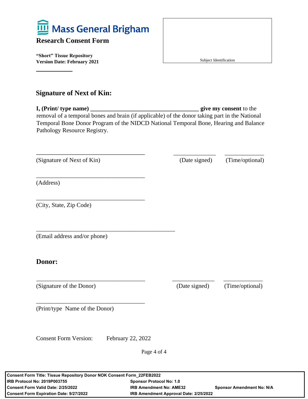

**"Short" Tissue Repository Version Date: February 2021** 

Subject Identification

#### **Signature of Next of Kin:**

**I, (Print/ type name) \_\_\_\_\_\_\_\_\_\_\_\_\_\_\_\_\_\_\_\_\_\_\_\_\_\_\_\_\_\_\_\_\_\_\_\_ give my consent** to the removal of a temporal bones and brain (if applicable) of the donor taking part in the National Temporal Bone Donor Program of the NIDCD National Temporal Bone, Hearing and Balance Pathology Resource Registry.

(Signature of Next of Kin) (Date signed) (Time/optional)

\_\_\_\_\_\_\_\_\_\_\_\_\_\_\_\_\_\_\_\_\_\_\_\_\_\_\_\_\_\_\_\_\_\_\_\_

\_\_\_\_\_\_\_\_\_\_\_\_\_\_\_\_\_\_\_\_\_\_\_\_\_\_\_\_\_\_\_\_\_\_\_\_

\_\_\_\_\_\_\_\_\_\_\_\_\_\_\_\_\_\_\_\_\_\_\_\_\_\_\_\_\_\_\_\_\_\_\_\_\_\_\_\_\_\_\_\_\_\_

 $\overline{\phantom{a}}$  ,  $\overline{\phantom{a}}$  ,  $\overline{\phantom{a}}$  ,  $\overline{\phantom{a}}$  ,  $\overline{\phantom{a}}$  ,  $\overline{\phantom{a}}$  ,  $\overline{\phantom{a}}$  ,  $\overline{\phantom{a}}$  ,  $\overline{\phantom{a}}$  ,  $\overline{\phantom{a}}$  ,  $\overline{\phantom{a}}$  ,  $\overline{\phantom{a}}$  ,  $\overline{\phantom{a}}$  ,  $\overline{\phantom{a}}$  ,  $\overline{\phantom{a}}$  ,  $\overline{\phantom{a}}$ 

(Address)

(City, State, Zip Code)

(Email address and/or phone)

#### **Donor:**

(Signature of the Donor) (Date signed) (Time/optional)

(Print/type Name of the Donor)

Consent Form Version: February 22, 2022

\_\_\_\_\_\_\_\_\_\_\_\_\_\_\_\_\_\_\_\_\_\_\_\_\_\_\_\_\_\_\_\_\_\_\_\_

Page 4 of 4

\_\_\_\_\_\_\_\_\_\_\_\_\_\_\_\_\_\_\_\_\_\_\_\_\_\_\_\_\_\_\_\_\_\_\_\_ \_\_\_\_\_\_\_\_\_\_\_\_\_\_ \_\_\_\_\_\_\_\_\_\_\_\_\_

**Consent Form Title: Tissue Repository Donor NOK Consent Form\_22FEB2022 IRB Protocol No: 2019P003755 Sponsor Protocol No: 1.0 Consent Form Valid Date: 2/25/2022 IRB Amendment No: AME32 Sponsor Amendment No: N/A Consent Form Expiration Date: 9/27/2022 IRB Amendment Approval Date: 2/25/2022**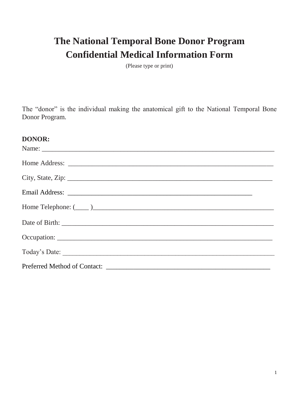### **The National Temporal Bone Donor Program Confidential Medical Information Form**

(Please type or print)

The "donor" is the individual making the anatomical gift to the National Temporal Bone Donor Program.

#### **DONOR:**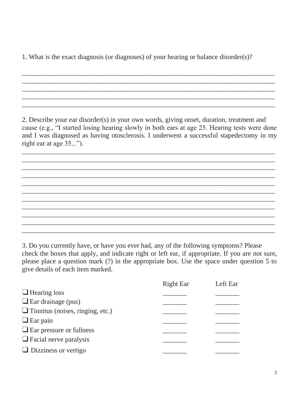1. What is the exact diagnosis (or diagnoses) of your hearing or balance disorder(s)?

2. Describe your ear disorder(s) in your own words, giving onset, duration, treatment and cause (e.g., "I started losing hearing slowly in both ears at age 25. Hearing tests were done and I was diagnosed as having otosclerosis. I underwent a successful stapedectomy in my right ear at age 35...").

\_\_\_\_\_\_\_\_\_\_\_\_\_\_\_\_\_\_\_\_\_\_\_\_\_\_\_\_\_\_\_\_\_\_\_\_\_\_\_\_\_\_\_\_\_\_\_\_\_\_\_\_\_\_\_\_\_\_\_\_\_\_\_\_\_\_\_\_\_\_\_\_\_\_ \_\_\_\_\_\_\_\_\_\_\_\_\_\_\_\_\_\_\_\_\_\_\_\_\_\_\_\_\_\_\_\_\_\_\_\_\_\_\_\_\_\_\_\_\_\_\_\_\_\_\_\_\_\_\_\_\_\_\_\_\_\_\_\_\_\_\_\_\_\_\_\_\_\_ \_\_\_\_\_\_\_\_\_\_\_\_\_\_\_\_\_\_\_\_\_\_\_\_\_\_\_\_\_\_\_\_\_\_\_\_\_\_\_\_\_\_\_\_\_\_\_\_\_\_\_\_\_\_\_\_\_\_\_\_\_\_\_\_\_\_\_\_\_\_\_\_\_\_ \_\_\_\_\_\_\_\_\_\_\_\_\_\_\_\_\_\_\_\_\_\_\_\_\_\_\_\_\_\_\_\_\_\_\_\_\_\_\_\_\_\_\_\_\_\_\_\_\_\_\_\_\_\_\_\_\_\_\_\_\_\_\_\_\_\_\_\_\_\_\_\_\_\_ \_\_\_\_\_\_\_\_\_\_\_\_\_\_\_\_\_\_\_\_\_\_\_\_\_\_\_\_\_\_\_\_\_\_\_\_\_\_\_\_\_\_\_\_\_\_\_\_\_\_\_\_\_\_\_\_\_\_\_\_\_\_\_\_\_\_\_\_\_\_\_\_\_\_ \_\_\_\_\_\_\_\_\_\_\_\_\_\_\_\_\_\_\_\_\_\_\_\_\_\_\_\_\_\_\_\_\_\_\_\_\_\_\_\_\_\_\_\_\_\_\_\_\_\_\_\_\_\_\_\_\_\_\_\_\_\_\_\_\_\_\_\_\_\_\_\_\_\_ \_\_\_\_\_\_\_\_\_\_\_\_\_\_\_\_\_\_\_\_\_\_\_\_\_\_\_\_\_\_\_\_\_\_\_\_\_\_\_\_\_\_\_\_\_\_\_\_\_\_\_\_\_\_\_\_\_\_\_\_\_\_\_\_\_\_\_\_\_\_\_\_\_\_ \_\_\_\_\_\_\_\_\_\_\_\_\_\_\_\_\_\_\_\_\_\_\_\_\_\_\_\_\_\_\_\_\_\_\_\_\_\_\_\_\_\_\_\_\_\_\_\_\_\_\_\_\_\_\_\_\_\_\_\_\_\_\_\_\_\_\_\_\_\_\_\_\_\_ \_\_\_\_\_\_\_\_\_\_\_\_\_\_\_\_\_\_\_\_\_\_\_\_\_\_\_\_\_\_\_\_\_\_\_\_\_\_\_\_\_\_\_\_\_\_\_\_\_\_\_\_\_\_\_\_\_\_\_\_\_\_\_\_\_\_\_\_\_\_\_\_\_\_ \_\_\_\_\_\_\_\_\_\_\_\_\_\_\_\_\_\_\_\_\_\_\_\_\_\_\_\_\_\_\_\_\_\_\_\_\_\_\_\_\_\_\_\_\_\_\_\_\_\_\_\_\_\_\_\_\_\_\_\_\_\_\_\_\_\_\_\_\_\_\_\_\_\_ \_\_\_\_\_\_\_\_\_\_\_\_\_\_\_\_\_\_\_\_\_\_\_\_\_\_\_\_\_\_\_\_\_\_\_\_\_\_\_\_\_\_\_\_\_\_\_\_\_\_\_\_\_\_\_\_\_\_\_\_\_\_\_\_\_\_\_\_\_\_\_\_\_\_

\_\_\_\_\_\_\_\_\_\_\_\_\_\_\_\_\_\_\_\_\_\_\_\_\_\_\_\_\_\_\_\_\_\_\_\_\_\_\_\_\_\_\_\_\_\_\_\_\_\_\_\_\_\_\_\_\_\_\_\_\_\_\_\_\_\_\_\_\_\_\_\_\_\_ \_\_\_\_\_\_\_\_\_\_\_\_\_\_\_\_\_\_\_\_\_\_\_\_\_\_\_\_\_\_\_\_\_\_\_\_\_\_\_\_\_\_\_\_\_\_\_\_\_\_\_\_\_\_\_\_\_\_\_\_\_\_\_\_\_\_\_\_\_\_\_\_\_\_ \_\_\_\_\_\_\_\_\_\_\_\_\_\_\_\_\_\_\_\_\_\_\_\_\_\_\_\_\_\_\_\_\_\_\_\_\_\_\_\_\_\_\_\_\_\_\_\_\_\_\_\_\_\_\_\_\_\_\_\_\_\_\_\_\_\_\_\_\_\_\_\_\_\_ \_\_\_\_\_\_\_\_\_\_\_\_\_\_\_\_\_\_\_\_\_\_\_\_\_\_\_\_\_\_\_\_\_\_\_\_\_\_\_\_\_\_\_\_\_\_\_\_\_\_\_\_\_\_\_\_\_\_\_\_\_\_\_\_\_\_\_\_\_\_\_\_\_\_ \_\_\_\_\_\_\_\_\_\_\_\_\_\_\_\_\_\_\_\_\_\_\_\_\_\_\_\_\_\_\_\_\_\_\_\_\_\_\_\_\_\_\_\_\_\_\_\_\_\_\_\_\_\_\_\_\_\_\_\_\_\_\_\_\_\_\_\_\_\_\_\_\_\_

3. Do you currently have, or have you ever had, any of the following symptoms? Please check the boxes that apply, and indicate right or left ear, if appropriate. If you are not sure, please place a question mark (?) in the appropriate box. Use the space under question 5 to give details of each item marked.

|                                         | <b>Right Ear</b> | Left Ear |
|-----------------------------------------|------------------|----------|
| $\Box$ Hearing loss                     |                  |          |
| $\Box$ Ear drainage (pus)               |                  |          |
| $\Box$ Tinnitus (noises, ringing, etc.) |                  |          |
| $\Box$ Ear pain                         |                  |          |
| $\Box$ Ear pressure or fullness         |                  |          |
| $\Box$ Facial nerve paralysis           |                  |          |
| $\Box$ Dizziness or vertigo             |                  |          |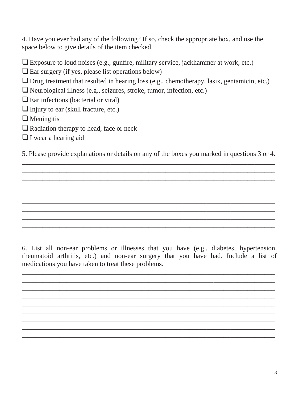4. Have you ever had any of the following? If so, check the appropriate box, and use the space below to give details of the item checked.

❑Exposure to loud noises (e.g., gunfire, military service, jackhammer at work, etc.)

❑Ear surgery (if yes, please list operations below)

❑Drug treatment that resulted in hearing loss (e.g., chemotherapy, lasix, gentamicin, etc.)

❑Neurological illness (e.g., seizures, stroke, tumor, infection, etc.)

 $\Box$  Ear infections (bacterial or viral)

 $\Box$  Injury to ear (skull fracture, etc.)

❑Meningitis

□Radiation therapy to head, face or neck

❑I wear a hearing aid

5. Please provide explanations or details on any of the boxes you marked in questions 3 or 4. \_\_\_\_\_\_\_\_\_\_\_\_\_\_\_\_\_\_\_\_\_\_\_\_\_\_\_\_\_\_\_\_\_\_\_\_\_\_\_\_\_\_\_\_\_\_\_\_\_\_\_\_\_\_\_\_\_\_\_\_\_\_\_\_\_\_\_\_\_\_\_\_\_\_

\_\_\_\_\_\_\_\_\_\_\_\_\_\_\_\_\_\_\_\_\_\_\_\_\_\_\_\_\_\_\_\_\_\_\_\_\_\_\_\_\_\_\_\_\_\_\_\_\_\_\_\_\_\_\_\_\_\_\_\_\_\_\_\_\_\_\_\_\_\_\_\_\_\_ \_\_\_\_\_\_\_\_\_\_\_\_\_\_\_\_\_\_\_\_\_\_\_\_\_\_\_\_\_\_\_\_\_\_\_\_\_\_\_\_\_\_\_\_\_\_\_\_\_\_\_\_\_\_\_\_\_\_\_\_\_\_\_\_\_\_\_\_\_\_\_\_\_\_ \_\_\_\_\_\_\_\_\_\_\_\_\_\_\_\_\_\_\_\_\_\_\_\_\_\_\_\_\_\_\_\_\_\_\_\_\_\_\_\_\_\_\_\_\_\_\_\_\_\_\_\_\_\_\_\_\_\_\_\_\_\_\_\_\_\_\_\_\_\_\_\_\_\_ \_\_\_\_\_\_\_\_\_\_\_\_\_\_\_\_\_\_\_\_\_\_\_\_\_\_\_\_\_\_\_\_\_\_\_\_\_\_\_\_\_\_\_\_\_\_\_\_\_\_\_\_\_\_\_\_\_\_\_\_\_\_\_\_\_\_\_\_\_\_\_\_\_\_ \_\_\_\_\_\_\_\_\_\_\_\_\_\_\_\_\_\_\_\_\_\_\_\_\_\_\_\_\_\_\_\_\_\_\_\_\_\_\_\_\_\_\_\_\_\_\_\_\_\_\_\_\_\_\_\_\_\_\_\_\_\_\_\_\_\_\_\_\_\_\_\_\_\_ \_\_\_\_\_\_\_\_\_\_\_\_\_\_\_\_\_\_\_\_\_\_\_\_\_\_\_\_\_\_\_\_\_\_\_\_\_\_\_\_\_\_\_\_\_\_\_\_\_\_\_\_\_\_\_\_\_\_\_\_\_\_\_\_\_\_\_\_\_\_\_\_\_\_ \_\_\_\_\_\_\_\_\_\_\_\_\_\_\_\_\_\_\_\_\_\_\_\_\_\_\_\_\_\_\_\_\_\_\_\_\_\_\_\_\_\_\_\_\_\_\_\_\_\_\_\_\_\_\_\_\_\_\_\_\_\_\_\_\_\_\_\_\_\_\_\_\_\_ \_\_\_\_\_\_\_\_\_\_\_\_\_\_\_\_\_\_\_\_\_\_\_\_\_\_\_\_\_\_\_\_\_\_\_\_\_\_\_\_\_\_\_\_\_\_\_\_\_\_\_\_\_\_\_\_\_\_\_\_\_\_\_\_\_\_\_\_\_\_\_\_\_\_

6. List all non-ear problems or illnesses that you have (e.g., diabetes, hypertension, rheumatoid arthritis, etc.) and non-ear surgery that you have had. Include a list of medications you have taken to treat these problems.

\_\_\_\_\_\_\_\_\_\_\_\_\_\_\_\_\_\_\_\_\_\_\_\_\_\_\_\_\_\_\_\_\_\_\_\_\_\_\_\_\_\_\_\_\_\_\_\_\_\_\_\_\_\_\_\_\_\_\_\_\_\_\_\_\_\_\_\_\_\_\_\_\_\_  $\overline{\phantom{a}}$  , and the contribution of the contribution of the contribution of the contribution of the contribution of the contribution of the contribution of the contribution of the contribution of the contribution of the  $\overline{\phantom{a}}$  , and the contribution of the contribution of the contribution of the contribution of the contribution of the contribution of the contribution of the contribution of the contribution of the contribution of the  $\overline{\phantom{a}}$  , and the contribution of the contribution of the contribution of the contribution of the contribution of the contribution of the contribution of the contribution of the contribution of the contribution of the \_\_\_\_\_\_\_\_\_\_\_\_\_\_\_\_\_\_\_\_\_\_\_\_\_\_\_\_\_\_\_\_\_\_\_\_\_\_\_\_\_\_\_\_\_\_\_\_\_\_\_\_\_\_\_\_\_\_\_\_\_\_\_\_\_\_\_\_\_\_\_\_\_\_  $\overline{\phantom{a}}$  , and the contribution of the contribution of the contribution of the contribution of the contribution of the contribution of the contribution of the contribution of the contribution of the contribution of the  $\overline{\phantom{a}}$  , and the contribution of the contribution of the contribution of the contribution of the contribution of the contribution of the contribution of the contribution of the contribution of the contribution of the \_\_\_\_\_\_\_\_\_\_\_\_\_\_\_\_\_\_\_\_\_\_\_\_\_\_\_\_\_\_\_\_\_\_\_\_\_\_\_\_\_\_\_\_\_\_\_\_\_\_\_\_\_\_\_\_\_\_\_\_\_\_\_\_\_\_\_\_\_\_\_\_\_\_  $\overline{\phantom{a}}$  , and the contribution of the contribution of the contribution of the contribution of the contribution of the contribution of the contribution of the contribution of the contribution of the contribution of the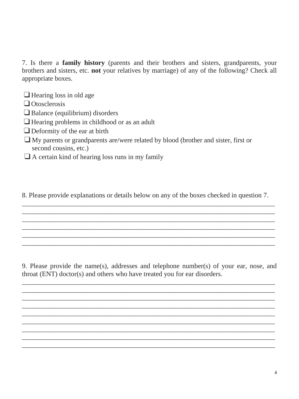7. Is there a **family history** (parents and their brothers and sisters, grandparents, your brothers and sisters, etc. **not** your relatives by marriage) of any of the following? Check all appropriate boxes.

- □ Hearing loss in old age
- ❑Otosclerosis
- $\Box$ Balance (equilibrium) disorders
- ❑Hearing problems in childhood or as an adult
- □ Deformity of the ear at birth
- ❑My parents or grandparents are/were related by blood (brother and sister, first or second cousins, etc.)
- ❑A certain kind of hearing loss runs in my family

8. Please provide explanations or details below on any of the boxes checked in question 7. \_\_\_\_\_\_\_\_\_\_\_\_\_\_\_\_\_\_\_\_\_\_\_\_\_\_\_\_\_\_\_\_\_\_\_\_\_\_\_\_\_\_\_\_\_\_\_\_\_\_\_\_\_\_\_\_\_\_\_\_\_\_\_\_\_\_\_\_\_\_\_\_\_\_

\_\_\_\_\_\_\_\_\_\_\_\_\_\_\_\_\_\_\_\_\_\_\_\_\_\_\_\_\_\_\_\_\_\_\_\_\_\_\_\_\_\_\_\_\_\_\_\_\_\_\_\_\_\_\_\_\_\_\_\_\_\_\_\_\_\_\_\_\_\_\_\_\_\_ \_\_\_\_\_\_\_\_\_\_\_\_\_\_\_\_\_\_\_\_\_\_\_\_\_\_\_\_\_\_\_\_\_\_\_\_\_\_\_\_\_\_\_\_\_\_\_\_\_\_\_\_\_\_\_\_\_\_\_\_\_\_\_\_\_\_\_\_\_\_\_\_\_\_ \_\_\_\_\_\_\_\_\_\_\_\_\_\_\_\_\_\_\_\_\_\_\_\_\_\_\_\_\_\_\_\_\_\_\_\_\_\_\_\_\_\_\_\_\_\_\_\_\_\_\_\_\_\_\_\_\_\_\_\_\_\_\_\_\_\_\_\_\_\_\_\_\_\_ \_\_\_\_\_\_\_\_\_\_\_\_\_\_\_\_\_\_\_\_\_\_\_\_\_\_\_\_\_\_\_\_\_\_\_\_\_\_\_\_\_\_\_\_\_\_\_\_\_\_\_\_\_\_\_\_\_\_\_\_\_\_\_\_\_\_\_\_\_\_\_\_\_\_ \_\_\_\_\_\_\_\_\_\_\_\_\_\_\_\_\_\_\_\_\_\_\_\_\_\_\_\_\_\_\_\_\_\_\_\_\_\_\_\_\_\_\_\_\_\_\_\_\_\_\_\_\_\_\_\_\_\_\_\_\_\_\_\_\_\_\_\_\_\_\_\_\_\_

9. Please provide the name(s), addresses and telephone number(s) of your ear, nose, and throat (ENT) doctor(s) and others who have treated you for ear disorders.

\_\_\_\_\_\_\_\_\_\_\_\_\_\_\_\_\_\_\_\_\_\_\_\_\_\_\_\_\_\_\_\_\_\_\_\_\_\_\_\_\_\_\_\_\_\_\_\_\_\_\_\_\_\_\_\_\_\_\_\_\_\_\_\_\_\_\_\_\_\_\_\_\_\_ \_\_\_\_\_\_\_\_\_\_\_\_\_\_\_\_\_\_\_\_\_\_\_\_\_\_\_\_\_\_\_\_\_\_\_\_\_\_\_\_\_\_\_\_\_\_\_\_\_\_\_\_\_\_\_\_\_\_\_\_\_\_\_\_\_\_\_\_\_\_\_\_\_\_ \_\_\_\_\_\_\_\_\_\_\_\_\_\_\_\_\_\_\_\_\_\_\_\_\_\_\_\_\_\_\_\_\_\_\_\_\_\_\_\_\_\_\_\_\_\_\_\_\_\_\_\_\_\_\_\_\_\_\_\_\_\_\_\_\_\_\_\_\_\_\_\_\_\_ \_\_\_\_\_\_\_\_\_\_\_\_\_\_\_\_\_\_\_\_\_\_\_\_\_\_\_\_\_\_\_\_\_\_\_\_\_\_\_\_\_\_\_\_\_\_\_\_\_\_\_\_\_\_\_\_\_\_\_\_\_\_\_\_\_\_\_\_\_\_\_\_\_\_ \_\_\_\_\_\_\_\_\_\_\_\_\_\_\_\_\_\_\_\_\_\_\_\_\_\_\_\_\_\_\_\_\_\_\_\_\_\_\_\_\_\_\_\_\_\_\_\_\_\_\_\_\_\_\_\_\_\_\_\_\_\_\_\_\_\_\_\_\_\_\_\_\_\_ \_\_\_\_\_\_\_\_\_\_\_\_\_\_\_\_\_\_\_\_\_\_\_\_\_\_\_\_\_\_\_\_\_\_\_\_\_\_\_\_\_\_\_\_\_\_\_\_\_\_\_\_\_\_\_\_\_\_\_\_\_\_\_\_\_\_\_\_\_\_\_\_\_\_ \_\_\_\_\_\_\_\_\_\_\_\_\_\_\_\_\_\_\_\_\_\_\_\_\_\_\_\_\_\_\_\_\_\_\_\_\_\_\_\_\_\_\_\_\_\_\_\_\_\_\_\_\_\_\_\_\_\_\_\_\_\_\_\_\_\_\_\_\_\_\_\_\_\_ \_\_\_\_\_\_\_\_\_\_\_\_\_\_\_\_\_\_\_\_\_\_\_\_\_\_\_\_\_\_\_\_\_\_\_\_\_\_\_\_\_\_\_\_\_\_\_\_\_\_\_\_\_\_\_\_\_\_\_\_\_\_\_\_\_\_\_\_\_\_\_\_\_\_ \_\_\_\_\_\_\_\_\_\_\_\_\_\_\_\_\_\_\_\_\_\_\_\_\_\_\_\_\_\_\_\_\_\_\_\_\_\_\_\_\_\_\_\_\_\_\_\_\_\_\_\_\_\_\_\_\_\_\_\_\_\_\_\_\_\_\_\_\_\_\_\_\_\_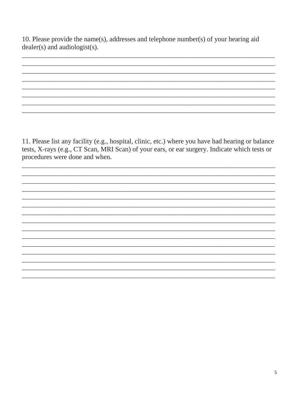10. Please provide the name(s), addresses and telephone number(s) of your hearing aid dealer(s) and audiologist(s).

11. Please list any facility (e.g., hospital, clinic, etc.) where you have had hearing or balance tests, X-rays (e.g., CT Scan, MRI Scan) of your ears, or ear surgery. Indicate which tests or procedures were done and when.